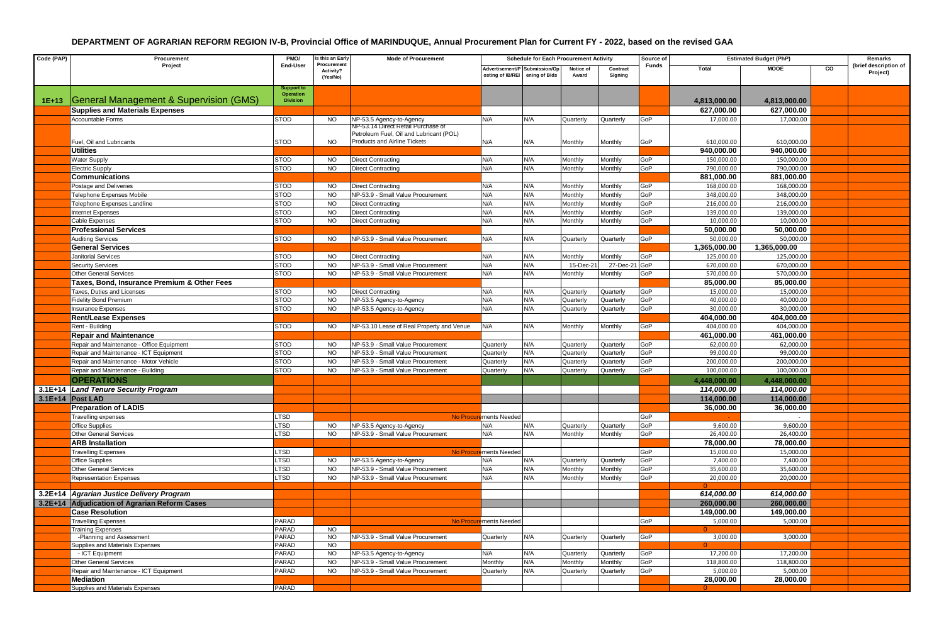| Code (PAP) | Procurement                                                 | PMO/                                              | s this an Early                      | <b>Mode of Procurement</b>                                                     | <b>Schedule for Each Procurement Activity</b>                   |     |                    |                     |              | <b>Estimated Budget (PhP)</b> |              |    | Remarks                           |
|------------|-------------------------------------------------------------|---------------------------------------------------|--------------------------------------|--------------------------------------------------------------------------------|-----------------------------------------------------------------|-----|--------------------|---------------------|--------------|-------------------------------|--------------|----|-----------------------------------|
|            | Project                                                     | End-User                                          | Procurement<br>Activity?<br>(Yes/No) |                                                                                | Advertisement/P Submission/Op<br>osting of IB/REI ening of Bids |     | Notice of<br>Award | Contract<br>Signing | <b>Funds</b> | Total                         | <b>MOOE</b>  | CO | (brief description of<br>Project) |
| $1E+13$    | General Management & Supervision (GMS)                      | iupport to<br><b>Operation</b><br><b>Division</b> |                                      |                                                                                |                                                                 |     |                    |                     |              | 4,813,000.00                  | 4,813,000.00 |    |                                   |
|            | <b>Supplies and Materials Expenses</b>                      |                                                   |                                      |                                                                                |                                                                 |     |                    |                     |              | 627,000.00                    | 627,000.00   |    |                                   |
|            | Accountable Forms                                           | <b>STOD</b>                                       | <b>NO</b>                            | NP-53.5 Agency-to-Agency                                                       | N/A                                                             | N/A | Quarterly          | Quarterly           | GoP          | 17,000.00                     | 17,000.00    |    |                                   |
|            |                                                             |                                                   |                                      | NP-53.14 Direct Retail Purchase of                                             |                                                                 |     |                    |                     |              |                               |              |    |                                   |
|            | Fuel, Oil and Lubricants                                    | <b>STOD</b>                                       | <b>NO</b>                            | Petroleum Fuel, Oil and Lubricant (POL)<br><b>Products and Airline Tickets</b> | N/A                                                             | N/A | Monthly            | Monthly             | GoP          | 610,000.00                    | 610,000.00   |    |                                   |
|            | <b>Utilities</b>                                            |                                                   |                                      |                                                                                |                                                                 |     |                    |                     |              | 940,000.00                    | 940,000.00   |    |                                   |
|            | Water Supply                                                | STOD                                              | <b>NO</b>                            | Direct Contracting                                                             | N/A                                                             | N/A | Monthly            | Monthly             | GoP          | 150,000.00                    | 150,000.00   |    |                                   |
|            | <b>Electric Supply</b>                                      | STOD                                              | <b>NO</b>                            | Direct Contracting                                                             | N/A                                                             | N/A | Monthly            | Monthly             | GoP          | 790,000.00                    | 790,000.00   |    |                                   |
|            | <b>Communications</b>                                       |                                                   |                                      |                                                                                |                                                                 |     |                    |                     |              | 881,000.00                    | 881,000.00   |    |                                   |
|            | Postage and Deliveries                                      | <b>STOD</b>                                       | <b>NO</b>                            | Direct Contracting                                                             | N/A                                                             | N/A | Monthly            | Monthly             | GoP          | 168,000.00                    | 168,000.00   |    |                                   |
|            | Felephone Expenses Mobile                                   | <b>STOD</b>                                       | <b>NO</b>                            | NP-53.9 - Small Value Procurement                                              | N/A                                                             | N/A | Monthly            | Monthly             | GoP          | 348,000.00                    | 348,000.00   |    |                                   |
|            | <b>Telephone Expenses Landline</b>                          | <b>STOD</b>                                       | <b>NO</b>                            | <b>Direct Contracting</b>                                                      | N/A                                                             | N/A | Monthly            | Monthly             | GoP          | 216,000.00                    | 216,000.00   |    |                                   |
|            | nternet Expenses                                            | <b>STOD</b>                                       | <b>NO</b>                            | Direct Contracting                                                             | N/A                                                             | N/A | Monthly            | Monthly             | GoP          | 139,000.00                    | 139,000.00   |    |                                   |
|            | <b>Cable Expenses</b>                                       | <b>STOD</b>                                       | <b>NO</b>                            | <b>Direct Contracting</b>                                                      | N/A                                                             | N/A | Monthly            | Monthly             | GoP          | 10,000.00                     | 10,000.00    |    |                                   |
|            | <b>Professional Services</b>                                |                                                   |                                      |                                                                                |                                                                 |     |                    |                     |              | 50,000.00                     | 50,000.00    |    |                                   |
|            | <b>Auditing Services</b>                                    | <b>STOD</b>                                       | NO.                                  | NP-53.9 - Small Value Procurement                                              | N/A                                                             | N/A | Quarterly          | Quarterly           | GoP          | 50,000.00                     | 50,000.00    |    |                                   |
|            | <b>General Services</b>                                     |                                                   |                                      |                                                                                |                                                                 |     |                    |                     |              | 1,365,000.00                  | 1,365,000.00 |    |                                   |
|            | Janitorial Services                                         | <b>STOD</b>                                       | <b>NO</b>                            | Direct Contracting                                                             | N/A                                                             | N/A | Monthly            | Monthly             | GoP          | 125,000.00                    | 125,000.00   |    |                                   |
|            | <b>Security Services</b>                                    | <b>STOD</b>                                       | <b>NO</b>                            | NP-53.9 - Small Value Procurement                                              | N/A                                                             | N/A | 15-Dec-21          | 27-Dec-2            | GoP          | 670,000.00                    | 670,000.00   |    |                                   |
|            | <b>Other General Services</b>                               | <b>STOD</b>                                       | <b>NO</b>                            | NP-53.9 - Small Value Procurement                                              | N/A                                                             | N/A | Monthly            | Monthly             | GoP          | 570,000.00                    | 570,000.00   |    |                                   |
|            | Taxes, Bond, Insurance Premium & Other Fees                 |                                                   |                                      |                                                                                |                                                                 |     |                    |                     |              | 85,000.00                     | 85,000.00    |    |                                   |
|            | <b>Taxes, Duties and Licenses</b>                           | <b>STOD</b>                                       | <b>NO</b>                            | Direct Contracting                                                             | N/A                                                             | N/A | Quarterly          | Quarterly           | GoP          | 15,000.00                     | 15,000.00    |    |                                   |
|            | <b>Fidelity Bond Premium</b>                                | <b>STOD</b>                                       | <b>NO</b>                            | NP-53.5 Agency-to-Agency                                                       | N/A                                                             | N/A | Quarterly          | Quarterly           | GoP          | 40,000.00                     | 40,000.00    |    |                                   |
|            | nsurance Expenses                                           | <b>STOD</b>                                       | <b>NO</b>                            | NP-53.5 Agency-to-Agency                                                       | N/A                                                             | N/A | Quarterly          | Quarterly           | GoP          | 30,000.00                     | 30,000.00    |    |                                   |
|            | <b>Rent/Lease Expenses</b>                                  |                                                   |                                      |                                                                                |                                                                 |     |                    |                     |              | 404,000.00                    | 404,000.00   |    |                                   |
|            | Rent - Building                                             | <b>STOD</b>                                       | <b>NO</b>                            | NP-53.10 Lease of Real Property and Venue                                      | N/A                                                             | N/A | Monthly            | Monthly             | GoP          | 404,000.00                    | 404,000.00   |    |                                   |
|            | <b>Repair and Maintenance</b>                               |                                                   |                                      |                                                                                |                                                                 |     |                    |                     |              | 461,000.00                    | 461,000.00   |    |                                   |
|            | Repair and Maintenance - Office Equipment                   | <b>STOD</b>                                       | <b>NO</b>                            | NP-53.9 - Small Value Procurement                                              | Quarterly                                                       | N/A | Quarterly          | Quarterly           | GoP          | 62,000.00                     | 62,000.00    |    |                                   |
|            | Repair and Maintenance - ICT Equipment                      | <b>STOD</b>                                       | <b>NO</b>                            | NP-53.9 - Small Value Procurement                                              | Quarterly                                                       | N/A | Quarterly          | Quarterly           | GoP          | 99,000.00                     | 99,000.00    |    |                                   |
|            | Repair and Maintenance - Motor Vehicle                      | <b>STOD</b>                                       | <b>NO</b>                            | NP-53.9 - Small Value Procurement                                              | Quarterly                                                       | N/A | Quarterly          | Quarterly           | GoP          | 200,000.00                    | 200,000.00   |    |                                   |
|            | Repair and Maintenance - Building                           | <b>STOD</b>                                       | <b>NO</b>                            | NP-53.9 - Small Value Procurement                                              | Quarterly                                                       | N/A | Quarterly          | Quarterly           | GoP          | 100,000.00                    | 100,000.00   |    |                                   |
|            | <b>OPERATIONS</b>                                           |                                                   |                                      |                                                                                |                                                                 |     |                    |                     |              | 4,448,000.00                  | 4,448,000.00 |    |                                   |
|            | 3.1E+14 Land Tenure Security Program                        |                                                   |                                      |                                                                                |                                                                 |     |                    |                     |              | 114,000.00                    | 114,000.00   |    |                                   |
|            | $3.1E+14$ Post LAD                                          |                                                   |                                      |                                                                                |                                                                 |     |                    |                     |              | 114,000.00                    | 114,000.00   |    |                                   |
|            | <b>Preparation of LADIS</b>                                 |                                                   |                                      |                                                                                |                                                                 |     |                    |                     |              | 36,000.00                     | 36,000.00    |    |                                   |
|            | <b>Travelling expenses</b>                                  | LTSD                                              |                                      |                                                                                | No Procurements Needed                                          |     |                    |                     | GoP          |                               |              |    |                                   |
|            | <b>Office Supplies</b>                                      | LTSD                                              | <b>NO</b>                            | NP-53.5 Agency-to-Agency                                                       | N/A                                                             | N/A | Quarterly          | Quarterly           | GoP          | 9,600.00                      | 9,600.00     |    |                                   |
|            | <b>Other General Services</b>                               | LTSD                                              | <b>NO</b>                            | NP-53.9 - Small Value Procurement                                              | N/A                                                             | N/A | Monthly            | Monthly             | GoP          | 26,400.00                     | 26,400.00    |    |                                   |
|            | <b>ARB Installation</b>                                     |                                                   |                                      |                                                                                |                                                                 |     |                    |                     |              | 78,000.00                     | 78,000.00    |    |                                   |
|            | <b>Travelling Expenses</b>                                  | LTSD                                              |                                      |                                                                                | No Procurements Needed                                          |     |                    |                     | GoP          | 15,000.00                     | 15,000.00    |    |                                   |
|            | <b>Office Supplies</b>                                      | LTSD                                              | NO.                                  | NP-53.5 Agency-to-Agency                                                       | N/A                                                             | N/A | Quarterly          | Quarterly           | GoP          | 7,400.00                      | 7,400.00     |    |                                   |
|            | <b>Other General Services</b>                               | LTSD                                              | <b>NO</b>                            | NP-53.9 - Small Value Procurement                                              | N/A                                                             | N/A | Monthly            | Monthly             | GoP          | 35,600.00                     | 35,600.00    |    |                                   |
|            | <b>Representation Expenses</b>                              | LTSD                                              | <b>NO</b>                            | NP-53.9 - Small Value Procurement                                              | N/A                                                             | N/A | Monthly            | Monthly             | GoP          | 20,000.00                     | 20,000.00    |    |                                   |
|            |                                                             |                                                   |                                      |                                                                                |                                                                 |     |                    |                     |              |                               |              |    |                                   |
|            | 3.2E+14 Agrarian Justice Delivery Program                   |                                                   |                                      |                                                                                |                                                                 |     |                    |                     |              | 614,000.00                    | 614,000.00   |    |                                   |
|            | 3.2E+14 Adjudication of Agrarian Reform Cases               |                                                   |                                      |                                                                                |                                                                 |     |                    |                     |              | 260,000.00                    | 260,000.00   |    |                                   |
|            | <b>Case Resolution</b>                                      |                                                   |                                      |                                                                                |                                                                 |     |                    |                     |              | 149,000.00                    | 149,000.00   |    |                                   |
|            | <b>Travelling Expenses</b>                                  | PARAD                                             |                                      |                                                                                | No Procurements Needed                                          |     |                    |                     | GoP          | 5,000.00                      | 5,000.00     |    |                                   |
|            | <b>Training Expenses</b>                                    | PARAD                                             | NO.                                  |                                                                                |                                                                 |     |                    |                     |              |                               |              |    |                                   |
|            | -Planning and Assessment<br>Supplies and Materials Expenses | PARAD<br>PARAD                                    | <b>NO</b><br><b>NO</b>               | NP-53.9 - Small Value Procurement                                              | Quarterly                                                       | N/A | Quarterly          | Quarterly           | GoP          | 3,000.00                      | 3,000.00     |    |                                   |
|            | - ICT Equipment                                             | PARAD                                             | <b>NO</b>                            | NP-53.5 Agency-to-Agency                                                       | N/A                                                             | N/A | Quarterly          | Quarterly           | GoP          | 17,200.00                     | 17,200.00    |    |                                   |
|            | <b>Other General Services</b>                               | PARAD                                             | <b>NO</b>                            | NP-53.9 - Small Value Procurement                                              | Monthly                                                         | N/A | Monthly            | Monthly             | GoP          | 118,800.00                    | 118,800.00   |    |                                   |
|            | Repair and Maintenance - ICT Equipment                      | PARAD                                             | <b>NO</b>                            | NP-53.9 - Small Value Procurement                                              | Quarterly                                                       | N/A | Quarterly          | Quarterly           | GoP          | 5,000.00                      | 5,000.00     |    |                                   |
|            | Mediation                                                   |                                                   |                                      |                                                                                |                                                                 |     |                    |                     |              | 28,000.00                     | 28.000.00    |    |                                   |
|            | Supplies and Materials Expenses                             | PARAD                                             |                                      |                                                                                |                                                                 |     |                    |                     |              |                               |              |    |                                   |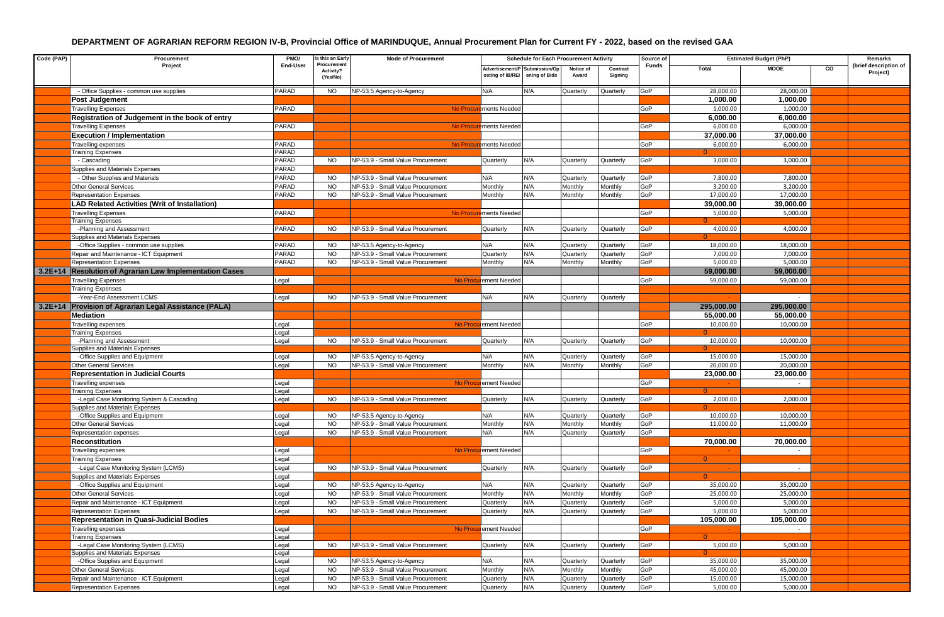| Code (PAP) | Procurement                                             | PMO/     | s this an Early                      | <b>Mode of Procurement</b>        |                                                   | <b>Schedule for Each Procurement Activity</b> |                    |                     | Source of |                | <b>Estimated Budget (PhP)</b> |    | Remarks                           |
|------------|---------------------------------------------------------|----------|--------------------------------------|-----------------------------------|---------------------------------------------------|-----------------------------------------------|--------------------|---------------------|-----------|----------------|-------------------------------|----|-----------------------------------|
|            | Project                                                 | End-User | Procurement<br>Activity?<br>(Yes/No) |                                   | Advertisement/P Submission/Op<br>osting of IB/REI | ening of Bids                                 | Notice of<br>Award | Contract<br>Signing | Funds     | Total          | <b>MOOE</b>                   | co | (brief description of<br>Project) |
|            | - Office Supplies - common use supplies                 | PARAD    | NO.                                  | NP-53.5 Agency-to-Agency          | N/A                                               | N/A                                           | Quarterly          | Quarterly           | GoP       | 28,000.00      | 28,000.00                     |    |                                   |
|            | Post Judgement                                          |          |                                      |                                   |                                                   |                                               |                    |                     |           | 1,000.00       | 1,000.00                      |    |                                   |
|            | <b>Travelling Expenses</b>                              | PARAD    |                                      |                                   | No Procurements Needed                            |                                               |                    |                     | GoP       | 1,000.00       | 1,000.00                      |    |                                   |
|            | Registration of Judgement in the book of entry          |          |                                      |                                   |                                                   |                                               |                    |                     |           | 6,000.00       | 6,000.00                      |    |                                   |
|            | <b>Travelling Expenses</b>                              | PARAD    |                                      |                                   | No Procurements Needed                            |                                               |                    |                     | GoP       | 6,000.00       | 6,000.00                      |    |                                   |
|            | <b>Execution / Implementation</b>                       |          |                                      |                                   |                                                   |                                               |                    |                     |           | 37,000.00      | 37,000.00                     |    |                                   |
|            | Travelling expenses                                     | PARAD    |                                      |                                   | No Procurements Needed                            |                                               |                    |                     | GoP       | 6,000.00       | 6,000.00                      |    |                                   |
|            | <b>Training Expenses</b>                                | PARAD    |                                      |                                   |                                                   |                                               |                    |                     |           |                |                               |    |                                   |
|            | - Cascading                                             | PARAD    | NO.                                  | NP-53.9 - Small Value Procurement | Quarterly                                         | N/A                                           | Quarterly          | Quarterly           | GoP       | 3,000.00       | 3,000.00                      |    |                                   |
|            | Supplies and Materials Expenses                         | PARAD    |                                      |                                   |                                                   |                                               |                    |                     |           |                |                               |    |                                   |
|            | - Other Supplies and Materials                          | PARAD    | <b>NO</b>                            | NP-53.9 - Small Value Procurement | N/A                                               | N/A                                           | Quarterly          | Quarterly           | GoP       | 7,800.00       | 7,800.00                      |    |                                   |
|            | <b>Other General Services</b>                           | PARAD    | <b>NO</b>                            | NP-53.9 - Small Value Procurement | Monthly                                           | N/A                                           | Monthly            | Monthly             | GoP       | 3,200.00       | 3,200.00                      |    |                                   |
|            | <b>Representation Expenses</b>                          | PARAD    | <b>NO</b>                            | NP-53.9 - Small Value Procurement | Monthly                                           | N/A                                           | Monthly            | Monthly             | GoP       | 17,000.00      | 17,000.00                     |    |                                   |
|            | <b>LAD Related Activities (Writ of Installation)</b>    |          |                                      |                                   |                                                   |                                               |                    |                     |           | 39,000.00      | 39,000.00                     |    |                                   |
|            | <b>Travelling Expenses</b>                              | PARAD    |                                      |                                   | No Procurements Needed                            |                                               |                    |                     | GoP       | 5,000.00       | 5,000.00                      |    |                                   |
|            | <b>Training Expenses</b>                                |          |                                      |                                   |                                                   |                                               |                    |                     |           |                |                               |    |                                   |
|            | -Planning and Assessment                                | PARAD    | NO.                                  | NP-53.9 - Small Value Procurement | Quarterly                                         | N/A                                           | Quarterly          | Quarterly           | GoP       | 4,000.00       | 4,000.00                      |    |                                   |
|            | Supplies and Materials Expenses                         |          |                                      |                                   |                                                   |                                               |                    |                     |           |                |                               |    |                                   |
|            | -Office Supplies - common use supplies                  | PARAD    | <b>NO</b>                            | NP-53.5 Agency-to-Agency          | N/A                                               | N/A                                           | Quarterly          | Quarterly           | GoP       | 18,000.00      | 18,000.00                     |    |                                   |
|            | Repair and Maintenance - ICT Equipment                  | PARAD    | NO.                                  | NP-53.9 - Small Value Procurement | Quarterly                                         | N/A                                           | Quarterly          | Quarterly           | GoP       | 7,000.00       | 7,000.00                      |    |                                   |
|            | <b>Representation Expenses</b>                          | PARAD    | <b>NO</b>                            | NP-53.9 - Small Value Procurement | Monthly                                           | N/A                                           | Monthly            | Monthly             | GoP       | 5,000.00       | 5,000.00                      |    |                                   |
|            | 3.2E+14 Resolution of Agrarian Law Implementation Cases |          |                                      |                                   |                                                   |                                               |                    |                     |           | 59,000.00      | 59,000.00                     |    |                                   |
|            | <b>Travelling Expenses</b>                              | Legal    |                                      |                                   | No Procurement Needed                             |                                               |                    |                     | GoP       | 59,000.00      | 59,000.00                     |    |                                   |
|            | <b>Training Expenses</b>                                |          |                                      |                                   |                                                   |                                               |                    |                     |           |                |                               |    |                                   |
|            | -Year-End Assessment LCMS                               | Legal    | <b>NO</b>                            | NP-53.9 - Small Value Procurement | N/A                                               | N/A                                           | Quarterly          | Quarterly           |           |                |                               |    |                                   |
|            | 3.2E+14 Provision of Agrarian Legal Assistance (PALA)   |          |                                      |                                   |                                                   |                                               |                    |                     |           | 295,000.00     | 295,000,00                    |    |                                   |
|            | Mediation                                               |          |                                      |                                   |                                                   |                                               |                    |                     |           | 55,000.00      | 55,000.00                     |    |                                   |
|            | Travelling expenses                                     | ∟egal    |                                      |                                   | No Procurement Needed                             |                                               |                    |                     | GoP       | 10,000.00      | 10,000.00                     |    |                                   |
|            | <b>Training Expenses</b>                                | Legal    |                                      |                                   |                                                   |                                               |                    |                     |           |                |                               |    |                                   |
|            | -Planning and Assessment                                | Legal    | NO.                                  | NP-53.9 - Small Value Procurement | Quarterly                                         | N/A                                           | Quarterly          | Quarterly           | GoP       | 10,000.00      | 10,000.00                     |    |                                   |
|            | Supplies and Materials Expenses                         |          |                                      |                                   |                                                   |                                               |                    |                     |           |                |                               |    |                                   |
|            | -Office Supplies and Equipment                          | Legal    | <b>NO</b>                            | NP-53.5 Agency-to-Agency          | N/A                                               | N/A                                           | Quarterly          | Quarterly           | GoP       | 15,000.00      | 15,000.00                     |    |                                   |
|            | <b>Other General Services</b>                           | Legal    | <b>NO</b>                            | NP-53.9 - Small Value Procurement | Monthly                                           | N/A                                           | Monthly            | Monthly             | GoP       | 20,000.00      | 20,000.00                     |    |                                   |
|            | <b>Representation in Judicial Courts</b>                |          |                                      |                                   |                                                   |                                               |                    |                     |           | 23,000.00      | 23,000.00                     |    |                                   |
|            | <b>Travelling expenses</b>                              | Legal    |                                      |                                   | No Procurement Needed                             |                                               |                    |                     | GoP       |                | $\sim$                        |    |                                   |
|            | <b>Training Expenses</b>                                | Legal    |                                      |                                   |                                                   |                                               |                    |                     |           | $\Omega$       |                               |    |                                   |
|            | -Legal Case Monitoring System & Cascading               | Legal    | NO.                                  | NP-53.9 - Small Value Procurement | Quarterly                                         | N/A                                           | Quarterly          | Quarterly           | GoP       | 2,000.00       | 2,000.00                      |    |                                   |
|            | Supplies and Materials Expenses                         |          |                                      |                                   |                                                   |                                               |                    |                     |           | $\Omega$       |                               |    |                                   |
|            | -Office Supplies and Equipment                          | Legal    | <b>NO</b>                            | NP-53.5 Agency-to-Agency          | N/A                                               | N/A                                           | Quarterly          | Quarterly           | GoP       | 10,000.00      | 10,000.00                     |    |                                   |
|            | <b>Other General Services</b>                           | Legal    | <b>NO</b>                            | NP-53.9 - Small Value Procurement | Monthly                                           | N/A                                           | Monthly            | Monthly             | GoP       | 11,000.00      | 11,000.00                     |    |                                   |
|            | Representation expenses                                 | Legal    | <b>NO</b>                            | NP-53.9 - Small Value Procurement | N/A                                               | N/A                                           | Quarterly          | Quarterly           | GoP       |                |                               |    |                                   |
|            | Reconstitution                                          |          |                                      |                                   |                                                   |                                               |                    |                     |           | 70,000.00      | 70,000.00                     |    |                                   |
|            | Travelling expenses                                     | Legal    |                                      |                                   | No Procurement Needed                             |                                               |                    |                     | GoP       |                |                               |    |                                   |
|            | <b>Training Expenses</b>                                | Legal    |                                      |                                   |                                                   |                                               |                    |                     |           | $\overline{0}$ |                               |    |                                   |
|            | -Legal Case Monitoring System (LCMS)                    | Legal    | NO.                                  | NP-53.9 - Small Value Procurement | Quarterly                                         | N/A                                           | Quarterly          | Quarterly           | GoP       |                | $\sim$                        |    |                                   |
|            | Supplies and Materials Expenses                         | Legal    |                                      |                                   |                                                   |                                               |                    |                     |           | $\Omega$       |                               |    |                                   |
|            | -Office Supplies and Equipment                          | Legal    | <b>NO</b>                            | NP-53.5 Agency-to-Agency          | N/A                                               | N/A                                           | Quarterly          | Quarterly           | GoP       | 35,000.00      | 35,000.00                     |    |                                   |
|            | <b>Other General Services</b>                           | Legal    | <b>NO</b>                            | NP-53.9 - Small Value Procurement | Monthly                                           | N/A                                           | Monthly            | Monthly             | GoP       | 25,000.00      | 25,000.00                     |    |                                   |
|            | Repair and Maintenance - ICT Equipment                  | Legal    | NO.                                  | NP-53.9 - Small Value Procurement | Quarterly                                         | N/A                                           | Quarterly          | Quarterly           | GoP       | 5,000.00       | 5,000.00                      |    |                                   |
|            | <b>Representation Expenses</b>                          | Legal    | NO.                                  | NP-53.9 - Small Value Procurement | Quarterly                                         | N/A                                           | Quarterly          | Quarterly           | GoP       | 5,000.00       | 5,000.00                      |    |                                   |
|            | <b>Representation in Quasi-Judicial Bodies</b>          |          |                                      |                                   |                                                   |                                               |                    |                     |           | 105,000.00     | 105,000.00                    |    |                                   |
|            | <b>Travelling expenses</b>                              | ∟egal    |                                      |                                   | No Procurement Needed                             |                                               |                    |                     | GoP       |                | $\sim$                        |    |                                   |
|            | <b>Training Expenses</b>                                | Legal    |                                      |                                   |                                                   |                                               |                    |                     |           |                |                               |    |                                   |
|            | -Legal Case Monitoring System (LCMS)                    | Legal    | NO.                                  | NP-53.9 - Small Value Procurement | Quarterly                                         | N/A                                           | Quarterly          | Quarterly           | GoP       | 5,000.00       | 5,000.00                      |    |                                   |
|            | Supplies and Materials Expenses                         | Legal    |                                      |                                   |                                                   |                                               |                    |                     |           |                |                               |    |                                   |
|            | -Office Supplies and Equipment                          | Legal    | <b>NO</b>                            | NP-53.5 Agency-to-Agency          | N/A                                               | N/A                                           | Quarterly          | Quarterly           | GoP       | 35,000.00      | 35,000.00                     |    |                                   |
|            | <b>Other General Services</b>                           | Legal    | <b>NO</b>                            | NP-53.9 - Small Value Procurement | Monthly                                           | N/A                                           | Monthly            | Monthly             | GoP       | 45,000.00      | 45,000.00                     |    |                                   |
|            | Repair and Maintenance - ICT Equipment                  | Legal    | <b>NO</b>                            | NP-53.9 - Small Value Procurement | Quarterly                                         | N/A                                           | Quarterly          | Quarterly           | GoP       | 15,000.00      | 15,000.00                     |    |                                   |
|            | Representation Expenses                                 | Legal    | NO.                                  | NP-53.9 - Small Value Procurement | Quarterly                                         | N/A                                           | Quarterly          | Quarterly           | GoP       | 5,000.00       | 5,000.00                      |    |                                   |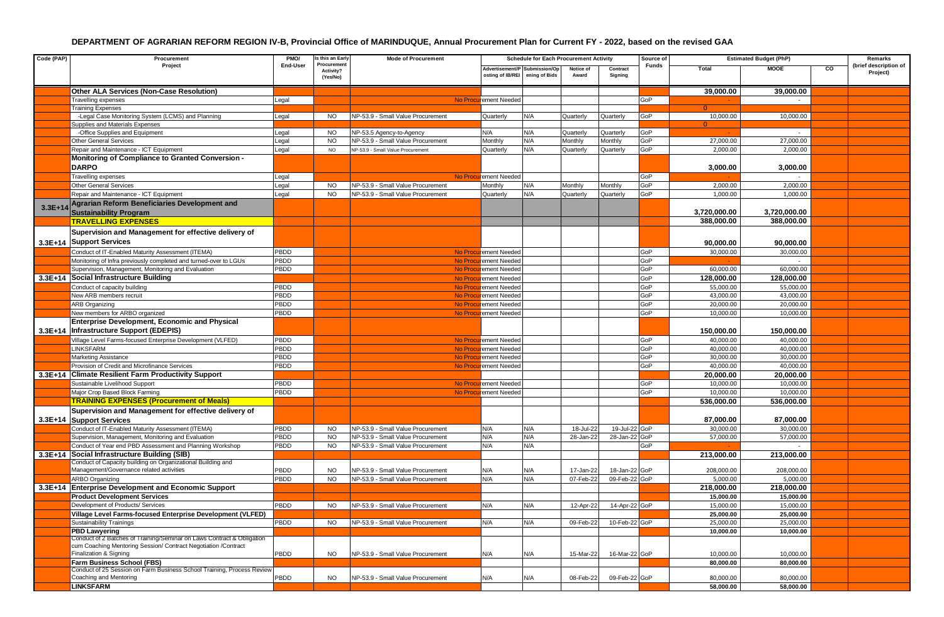| Code (PAP) | Procurement                                                                                                 | PMO/<br>s this an Early<br><b>Mode of Procurement</b><br><b>Schedule for Each Procurement Activity</b> |                                      |                                          | Source of                                                       | <b>Estimated Budget (PhP)</b> |                    |                     | Remarks      |              |              |    |                                   |
|------------|-------------------------------------------------------------------------------------------------------------|--------------------------------------------------------------------------------------------------------|--------------------------------------|------------------------------------------|-----------------------------------------------------------------|-------------------------------|--------------------|---------------------|--------------|--------------|--------------|----|-----------------------------------|
|            | Project                                                                                                     | End-User                                                                                               | Procurement<br>Activity?<br>(Yes/No) |                                          | Advertisement/P Submission/Op<br>osting of IB/REI ening of Bids |                               | Notice of<br>Award | Contract<br>Signing | <b>Funds</b> | Total        | <b>MOOE</b>  | co | (brief description of<br>Project) |
|            | <b>Other ALA Services (Non-Case Resolution)</b>                                                             |                                                                                                        |                                      |                                          |                                                                 |                               |                    |                     |              | 39,000.00    | 39,000.00    |    |                                   |
|            | <b>Travelling expenses</b>                                                                                  | Legal                                                                                                  |                                      |                                          | No Procurement Needed                                           |                               |                    |                     | GoP          |              |              |    |                                   |
|            | <b>Training Expenses</b>                                                                                    |                                                                                                        |                                      |                                          |                                                                 |                               |                    |                     |              |              |              |    |                                   |
|            | -Legal Case Monitoring System (LCMS) and Planning                                                           | Legal                                                                                                  | <b>NO</b>                            | NP-53.9 - Small Value Procurement        | Quarterly                                                       | N/A                           | Quarterly          | Quarterly           | GoP          | 10,000.00    | 10,000.00    |    |                                   |
|            | Supplies and Materials Expenses                                                                             |                                                                                                        |                                      |                                          |                                                                 |                               |                    |                     |              | $\Omega$     |              |    |                                   |
|            | -Office Supplies and Equipment                                                                              | Legal                                                                                                  | <b>NO</b>                            | VP-53.5 Agency-to-Agency                 | N/A                                                             | N/A                           | Quarterly          | Quarterly           | GoP          |              |              |    |                                   |
|            | Other General Services                                                                                      | Legal                                                                                                  | <b>NO</b>                            | <b>VP-53.9 - Small Value Procurement</b> | Monthly                                                         | N/A                           | Monthly            | Monthly             | GoP          | 27,000.00    | 27,000.00    |    |                                   |
|            | Repair and Maintenance - ICT Equipment                                                                      | Legal                                                                                                  | <b>NO</b>                            | NP-53.9 - Small Value Procurement        | Quarterly                                                       | N/A                           | Quarterly          | Quarterly           | GoP          | 2,000.00     | 2,000.00     |    |                                   |
|            | <b>Monitoring of Compliance to Granted Conversion -</b><br><b>DARPO</b>                                     |                                                                                                        |                                      |                                          |                                                                 |                               |                    |                     |              | 3,000.00     | 3,000.00     |    |                                   |
|            | Travelling expenses                                                                                         | Legal                                                                                                  |                                      |                                          | No Procurement Needed                                           |                               |                    |                     | GoP          |              |              |    |                                   |
|            | <b>Other General Services</b>                                                                               | Legal                                                                                                  | <b>NO</b>                            | NP-53.9 - Small Value Procurement        | Monthly                                                         | N/A                           | Monthly            | Monthly             | GoP          | 2,000.00     | 2,000.00     |    |                                   |
|            | Repair and Maintenance - ICT Equipment                                                                      | Legal                                                                                                  | <b>NO</b>                            | NP-53.9 - Small Value Procurement        | Quarterly                                                       | N/A                           | Quarterly          | Quarterly           | GoP          | 1.000.00     | 1,000.00     |    |                                   |
|            | Agrarian Reform Beneficiaries Development and                                                               |                                                                                                        |                                      |                                          |                                                                 |                               |                    |                     |              |              |              |    |                                   |
| $3.3E+14$  | <b>Sustainability Program</b>                                                                               |                                                                                                        |                                      |                                          |                                                                 |                               |                    |                     |              | 3,720,000.00 | 3,720,000.00 |    |                                   |
|            | <b>TRAVELLING EXPENSES</b>                                                                                  |                                                                                                        |                                      |                                          |                                                                 |                               |                    |                     |              | 388,000.00   | 388,000.00   |    |                                   |
|            | Supervision and Management for effective delivery of                                                        |                                                                                                        |                                      |                                          |                                                                 |                               |                    |                     |              |              |              |    |                                   |
|            | 3.3E+14 Support Services                                                                                    |                                                                                                        |                                      |                                          |                                                                 |                               |                    |                     |              | 90,000.00    | 90,000.00    |    |                                   |
|            | Conduct of IT-Enabled Maturity Assessment (ITEMA)                                                           | PBDD                                                                                                   |                                      |                                          | No Procurement Needed                                           |                               |                    |                     | GoP          | 30,000.00    | 30,000.00    |    |                                   |
|            | Monitoring of Infra previously completed and turned-over to LGUs                                            | PBDD                                                                                                   |                                      |                                          | No Procurement Needed                                           |                               |                    |                     | GoP          |              |              |    |                                   |
|            | Supervision, Management, Monitoring and Evaluation                                                          | PBDD                                                                                                   |                                      |                                          | No Procurement Needed                                           |                               |                    |                     | GoP          | 60,000.00    | 60,000.00    |    |                                   |
|            | 3.3E+14 Social Infrastructure Building                                                                      |                                                                                                        |                                      |                                          | No Procurement Needed                                           |                               |                    |                     | GoP          | 128,000.00   | 128,000.00   |    |                                   |
|            | Conduct of capacity building                                                                                | PBDD                                                                                                   |                                      |                                          | No Procurement Needed                                           |                               |                    |                     | GoP          | 55,000.00    | 55,000.00    |    |                                   |
|            | New ARB members recruit                                                                                     | PBDD                                                                                                   |                                      |                                          | No Procurement Needed                                           |                               |                    |                     | GoP          | 43,000.00    | 43,000.00    |    |                                   |
|            | <b>ARB Organizing</b>                                                                                       | PBDD                                                                                                   |                                      |                                          | No Procurement Needed                                           |                               |                    |                     | GoP          | 20,000.00    | 20,000.00    |    |                                   |
|            | New members for ARBO organized                                                                              | PBDD                                                                                                   |                                      |                                          | No Procurement Needed                                           |                               |                    |                     | GoP          | 10,000.00    | 10,000.00    |    |                                   |
|            | <b>Enterprise Development, Economic and Physical</b>                                                        |                                                                                                        |                                      |                                          |                                                                 |                               |                    |                     |              |              |              |    |                                   |
|            | 3.3E+14 Infrastructure Support (EDEPIS)                                                                     |                                                                                                        |                                      |                                          |                                                                 |                               |                    |                     |              | 150,000.00   | 150,000.00   |    |                                   |
|            | Village Level Farms-focused Enterprise Development (VLFED)                                                  | PBDD                                                                                                   |                                      |                                          | No Procurement Needed                                           |                               |                    |                     | GoP          | 40,000.00    | 40,000.00    |    |                                   |
|            | LINKSFARM                                                                                                   | PBDD                                                                                                   |                                      |                                          | No Procurement Needed                                           |                               |                    |                     | GoP          | 40,000.00    | 40,000.00    |    |                                   |
|            | Marketing Assistance                                                                                        | PBDD                                                                                                   |                                      |                                          | No Procurement Needed                                           |                               |                    |                     | GoP          | 30,000.00    | 30,000.00    |    |                                   |
|            | Provision of Credit and Microfinance Services                                                               | PBDD                                                                                                   |                                      |                                          | No Procurement Needed                                           |                               |                    |                     | GoP          | 40,000.00    | 40,000.00    |    |                                   |
|            | 3.3E+14 Climate Resilient Farm Productivity Support                                                         |                                                                                                        |                                      |                                          |                                                                 |                               |                    |                     |              | 20,000.00    | 20,000.00    |    |                                   |
|            | Sustainable Livelihood Support                                                                              | PBDD                                                                                                   |                                      |                                          | No Procurement Needed                                           |                               |                    |                     | GoP          | 10,000.00    | 10,000.00    |    |                                   |
|            | Major Crop Based Block Farming                                                                              | PBDD                                                                                                   |                                      |                                          | No Procurement Needed                                           |                               |                    |                     | GoP          | 10,000.00    | 10,000.00    |    |                                   |
|            | <b>TRAINING EXPENSES (Procurement of Meals)</b>                                                             |                                                                                                        |                                      |                                          |                                                                 |                               |                    |                     |              | 536,000.00   | 536,000.00   |    |                                   |
|            | Supervision and Management for effective delivery of                                                        |                                                                                                        |                                      |                                          |                                                                 |                               |                    |                     |              |              |              |    |                                   |
|            | 3.3E+14 Support Services                                                                                    |                                                                                                        |                                      |                                          |                                                                 |                               |                    |                     |              | 87,000.00    | 87,000.00    |    |                                   |
|            | Conduct of IT-Enabled Maturity Assessment (ITEMA)                                                           | PBDD                                                                                                   | <b>NO</b>                            | NP-53.9 - Small Value Procurement        | N/A                                                             | N/A                           | 18-Jul-22          | 19-Jul-22 GoP       |              | 30,000.00    | 30,000.00    |    |                                   |
|            | Supervision, Management, Monitoring and Evaluation                                                          | PBDD                                                                                                   | <b>NO</b>                            | NP-53.9 - Small Value Procurement        | N/A                                                             | N/A                           | 28-Jan-22          | 28-Jan-22 GoP       |              | 57,000.00    | 57,000.00    |    |                                   |
|            | Conduct of Year end PBD Assessment and Planning Workshop                                                    | PBDD                                                                                                   | <b>NO</b>                            | NP-53.9 - Small Value Procurement        | N/A                                                             | N/A                           |                    |                     | GoP          |              |              |    |                                   |
|            | 3.3E+14 Social Infrastructure Building (SIB)                                                                |                                                                                                        |                                      |                                          |                                                                 |                               |                    |                     |              | 213,000.00   | 213,000.00   |    |                                   |
|            | Conduct of Capacity building on Organizational Building and<br>Management/Governance related activities     | PBDD                                                                                                   | <b>NO</b>                            | NP-53.9 - Small Value Procurement        | N/A                                                             | N/A                           | 17-Jan-22          | 18-Jan-22 GoP       |              | 208,000.00   | 208,000.00   |    |                                   |
|            | ARBO Organizing                                                                                             | PBDD                                                                                                   | <b>NO</b>                            | NP-53.9 - Small Value Procurement        | N/A                                                             | N/A                           | 07-Feb-22          | 09-Feb-22 GoP       |              | 5,000.00     | 5,000.00     |    |                                   |
|            | 3.3E+14 Enterprise Development and Economic Support                                                         |                                                                                                        |                                      |                                          |                                                                 |                               |                    |                     |              | 218,000.00   | 218,000.00   |    |                                   |
|            | <b>Product Development Services</b>                                                                         |                                                                                                        |                                      |                                          |                                                                 |                               |                    |                     |              | 15,000.00    | 15,000.00    |    |                                   |
|            | Development of Products/ Services                                                                           | PBDD                                                                                                   | <b>NO</b>                            | NP-53.9 - Small Value Procurement        | N/A                                                             | N/A                           | 12-Apr-22          | 14-Apr-22 GoP       |              | 15,000.00    | 15,000.00    |    |                                   |
|            | Village Level Farms-focused Enterprise Development (VLFED)                                                  |                                                                                                        |                                      |                                          |                                                                 |                               |                    |                     |              | 25,000.00    | 25,000.00    |    |                                   |
|            | <b>Sustainability Trainings</b>                                                                             | PBDD                                                                                                   | <b>NO</b>                            | NP-53.9 - Small Value Procurement        | N/A                                                             | N/A                           | 09-Feb-22          | 10-Feb-22 GoP       |              | 25,000.00    | 25,000.00    |    |                                   |
|            | <b>PBD Lawyering</b>                                                                                        |                                                                                                        |                                      |                                          |                                                                 |                               |                    |                     |              | 10,000.00    | 10,000.00    |    |                                   |
|            | Conduct of 2 Batches of Training/Seminar on Laws Contract & Obligation                                      |                                                                                                        |                                      |                                          |                                                                 |                               |                    |                     |              |              |              |    |                                   |
|            | cum Coaching Mentoring Session/ Contract Negotiation /Contract                                              |                                                                                                        |                                      |                                          |                                                                 |                               |                    |                     |              |              |              |    |                                   |
|            | Finalization & Signing                                                                                      | PBDD                                                                                                   | <b>NO</b>                            | NP-53.9 - Small Value Procurement        | N/A                                                             | N/A                           | 15-Mar-22          | 16-Mar-22 GoP       |              | 10,000.00    | 10,000.00    |    |                                   |
|            | <b>Farm Business School (FBS)</b><br>Conduct of 25 Session on Farm Business School Training, Process Review |                                                                                                        |                                      |                                          |                                                                 |                               |                    |                     |              | 80,000.00    | 80,000.00    |    |                                   |
|            | Coaching and Mentoring                                                                                      | PBDD                                                                                                   | <b>NO</b>                            | NP-53.9 - Small Value Procurement        | N/A                                                             | N/A                           | 08-Feb-22          | 09-Feb-22 GoP       |              | 80,000.00    | 80,000.00    |    |                                   |
|            | <b>LINKSFARM</b>                                                                                            |                                                                                                        |                                      |                                          |                                                                 |                               |                    |                     |              | 58,000.00    | 58,000.00    |    |                                   |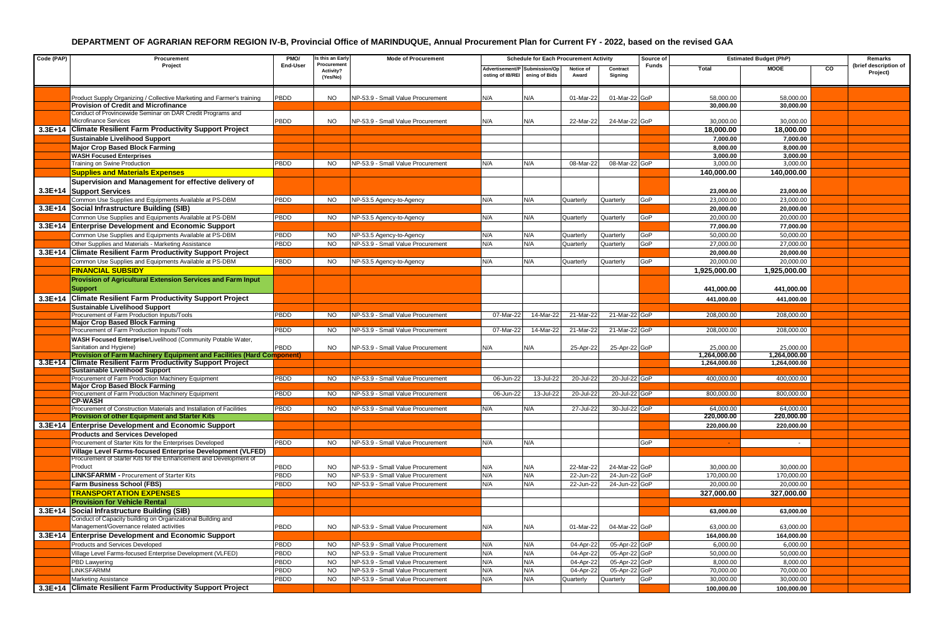| Code (PAP) | Procurement<br>Project                                                                                  | PMO/<br>End-User | s this an Early                      | <b>Mode of Procurement</b>        | <b>Schedule for Each Procurement Activity</b>                   |           |                    |                     |              | Source of<br><b>Estimated Budget (PhP)</b> |                         |    | Remarks                           |
|------------|---------------------------------------------------------------------------------------------------------|------------------|--------------------------------------|-----------------------------------|-----------------------------------------------------------------|-----------|--------------------|---------------------|--------------|--------------------------------------------|-------------------------|----|-----------------------------------|
|            |                                                                                                         |                  | Procurement<br>Activity?<br>(Yes/No) |                                   | Advertisement/P Submission/Op<br>osting of IB/REI ening of Bids |           | Notice of<br>Award | Contract<br>Signing | <b>Funds</b> | Total                                      | <b>MOOE</b>             | CO | (brief description of<br>Project) |
|            | Product Supply Organizing / Collective Marketing and Farmer's training                                  | PBDD             | NO.                                  | NP-53.9 - Small Value Procurement | N/A                                                             | N/A       | 01-Mar-22          | 01-Mar-22 GoP       |              | 58,000.00                                  | 58,000.00               |    |                                   |
|            | <b>Provision of Credit and Microfinance</b>                                                             |                  |                                      |                                   |                                                                 |           |                    |                     |              | 30,000.00                                  | 30,000.00               |    |                                   |
|            | Conduct of Provincewide Seminar on DAR Credit Programs and<br>Microfinance Services                     | PBDD             | <b>NO</b>                            | NP-53.9 - Small Value Procurement | N/A                                                             | N/A       | 22-Mar-22          | 24-Mar-22 GoP       |              | 30,000.00                                  | 30,000.00               |    |                                   |
|            | 3.3E+14 Climate Resilient Farm Productivity Support Project                                             |                  |                                      |                                   |                                                                 |           |                    |                     |              |                                            |                         |    |                                   |
|            |                                                                                                         |                  |                                      |                                   |                                                                 |           |                    |                     |              | 18,000.00                                  | 18,000.00<br>7,000.00   |    |                                   |
|            | <b>Sustainable Livelihood Support</b><br><b>Major Crop Based Block Farming</b>                          |                  |                                      |                                   |                                                                 |           |                    |                     |              | 7,000.00<br>8,000.00                       | 8,000.00                |    |                                   |
|            | <b>WASH Focused Enterprises</b>                                                                         |                  |                                      |                                   |                                                                 |           |                    |                     |              | 3,000.00                                   | 3,000.00                |    |                                   |
|            | Training on Swine Production                                                                            | <b>PBDD</b>      | NO.                                  | NP-53.9 - Small Value Procurement | N/A                                                             | N/A       | 08-Mar-22          | 08-Mar-22 GoP       |              | 3,000.00                                   | 3,000.00                |    |                                   |
|            | <b>Supplies and Materials Expenses</b>                                                                  |                  |                                      |                                   |                                                                 |           |                    |                     |              | 140,000.00                                 | 140.000.00              |    |                                   |
|            | Supervision and Management for effective delivery of                                                    |                  |                                      |                                   |                                                                 |           |                    |                     |              |                                            |                         |    |                                   |
|            | 3.3E+14 Support Services                                                                                |                  |                                      |                                   |                                                                 |           |                    |                     |              | 23,000.00                                  | 23,000.00               |    |                                   |
|            | Common Use Supplies and Equipments Available at PS-DBM                                                  | PBDD             | NO.                                  | NP-53.5 Agency-to-Agency          | N/A                                                             | N/A       | Quarterly          | Quarterly           | GoP          | 23,000.00                                  | 23,000.00               |    |                                   |
|            | 3.3E+14 Social Infrastructure Building (SIB)                                                            |                  |                                      |                                   |                                                                 |           |                    |                     |              | 20,000.00                                  | 20,000.00               |    |                                   |
|            | Common Use Supplies and Equipments Available at PS-DBM                                                  | <b>PBDD</b>      | <b>NO</b>                            | NP-53.5 Agency-to-Agency          | N/A                                                             | N/A       | Quarterly          | Quarterly           | GoP          | 20,000.00                                  | 20,000.00               |    |                                   |
|            | 3.3E+14 Enterprise Development and Economic Support                                                     |                  |                                      |                                   |                                                                 |           |                    |                     |              | 77,000.00                                  | 77,000.00               |    |                                   |
|            | Common Use Supplies and Equipments Available at PS-DBM                                                  | PBDD             | <b>NO</b>                            | NP-53.5 Agency-to-Agency          | N/A                                                             | N/A       | Quarterly          | Quarterly           | GoP          | 50,000.00                                  | 50,000.00               |    |                                   |
|            | Other Supplies and Materials - Marketing Assistance                                                     | PBDD             | <b>NO</b>                            | NP-53.9 - Small Value Procurement | N/A                                                             | N/A       | Quarterly          | Quarterly           | GoP          | 27,000.00                                  | 27,000.00               |    |                                   |
|            | 3.3E+14 Climate Resilient Farm Productivity Support Project                                             |                  |                                      |                                   |                                                                 |           |                    |                     |              | 20,000.00                                  | 20,000.00               |    |                                   |
|            | Common Use Supplies and Equipments Available at PS-DBM                                                  | PBDD             | <b>NO</b>                            | NP-53.5 Agency-to-Agency          | N/A                                                             | N/A       | Quarterly          | Quarterly           | GoP          | 20,000.00                                  | 20,000.00               |    |                                   |
|            | <b>FINANCIAL SUBSIDY</b>                                                                                |                  |                                      |                                   |                                                                 |           |                    |                     |              | 1,925,000.00                               | 1,925,000.00            |    |                                   |
|            | Provision of Agricultural Extension Services and Farm Input<br><b>Support</b>                           |                  |                                      |                                   |                                                                 |           |                    |                     |              | 441,000.00                                 | 441,000.00              |    |                                   |
|            | 3.3E+14 Climate Resilient Farm Productivity Support Project                                             |                  |                                      |                                   |                                                                 |           |                    |                     |              | 441,000.00                                 | 441,000.00              |    |                                   |
|            | <b>Sustainable Livelihood Support</b>                                                                   |                  |                                      |                                   |                                                                 |           |                    |                     |              |                                            |                         |    |                                   |
|            | Procurement of Farm Production Inputs/Tools                                                             | <b>PBDD</b>      | NO.                                  | NP-53.9 - Small Value Procurement | 07-Mar-22                                                       | 14-Mar-22 | 21-Mar-22          | 21-Mar-22 GoP       |              | 208,000.00                                 | 208,000.00              |    |                                   |
|            | Maior Crop Based Block Farming                                                                          |                  |                                      |                                   |                                                                 |           |                    |                     |              |                                            |                         |    |                                   |
|            | Procurement of Farm Production Inputs/Tools                                                             | PBDD             | NO.                                  | NP-53.9 - Small Value Procurement | 07-Mar-22                                                       | 14-Mar-22 | 21-Mar-22          | 21-Mar-22 GoP       |              | 208,000.00                                 | 208,000.00              |    |                                   |
|            | WASH Focused Enterprise/Livelihood (Community Potable Water,<br>Sanitation and Hygiene)                 | PBDD             | <b>NO</b>                            | NP-53.9 - Small Value Procurement | N/A                                                             | N/A       | 25-Apr-22          | 25-Apr-22 GoP       |              | 25,000.00                                  | 25,000.00               |    |                                   |
|            | Provision of Farm Machinery Equipment and Facilities (Hard Component)                                   |                  |                                      |                                   |                                                                 |           |                    |                     |              | 1,264,000.00                               | 1,264,000.00            |    |                                   |
|            | 3.3E+14 Climate Resilient Farm Productivity Support Project<br>Sustainable Livelihood Support           |                  |                                      |                                   |                                                                 |           |                    |                     |              | 1,264,000.00                               | 1,264,000.00            |    |                                   |
|            | Procurement of Farm Production Machinery Equipment                                                      | PBDD             | NO.                                  | NP-53.9 - Small Value Procurement | 06-Jun-22                                                       | 13-Jul-22 | 20-Jul-22          | 20-Jul-22 GoP       |              | 400,000.00                                 | 400,000.00              |    |                                   |
|            | Major Crop Based Block Farming                                                                          |                  |                                      |                                   |                                                                 |           |                    |                     |              |                                            |                         |    |                                   |
|            | Procurement of Farm Production Machinery Equipment                                                      | <b>PBDD</b>      | NO.                                  | NP-53.9 - Small Value Procurement | 06-Jun-22                                                       | 13-Jul-22 | 20-Jul-2           | 20-Jul-22 GoP       |              | 800,000.00                                 | 800,000.00              |    |                                   |
|            | <b>CP-WASH</b>                                                                                          |                  |                                      |                                   |                                                                 |           |                    |                     |              |                                            |                         |    |                                   |
|            | Procurement of Construction Materials and Installation of Facilities                                    | PBDD             | NO.                                  | NP-53.9 - Small Value Procurement | N/A                                                             | N/A       | 27-Jul-22          | 30-Jul-22 GoP       |              | 64,000.00<br>220,000.00                    | 64,000.00<br>220,000.00 |    |                                   |
|            | Provision of other Equipment and Starter Kits                                                           |                  |                                      |                                   |                                                                 |           |                    |                     |              |                                            |                         |    |                                   |
|            | 3.3E+14 Enterprise Development and Economic Support<br><b>Products and Services Developed</b>           |                  |                                      |                                   |                                                                 |           |                    |                     |              | 220,000.00                                 | 220,000.00              |    |                                   |
|            | Procurement of Starter Kits for the Enterprises Developed                                               | PBDD             | <b>NO</b>                            | NP-53.9 - Small Value Procurement | N/A                                                             | N/A       |                    |                     | GoP          |                                            | $\sim$                  |    |                                   |
|            | Village Level Farms-focused Enterprise Development (VLFED)                                              |                  |                                      |                                   |                                                                 |           |                    |                     |              |                                            |                         |    |                                   |
|            | Procurement of Starter Kits for the Enhancement and Development of                                      |                  |                                      |                                   |                                                                 |           |                    |                     |              |                                            |                         |    |                                   |
|            | Product                                                                                                 | <b>PBDD</b>      | <b>NO</b>                            | NP-53.9 - Small Value Procurement | N/A                                                             | N/A       | 22-Mar-22          | 24-Mar-22 GoP       |              | 30,000.00                                  | 30,000.00               |    |                                   |
|            | <b>LINKSFARMM - Procurement of Starter Kits</b>                                                         | PBDD             | <b>NO</b>                            | NP-53.9 - Small Value Procurement | N/A                                                             | N/A       | 22-Jun-22          | 24-Jun-22 GoP       |              | 170,000.00                                 | 170,000.00              |    |                                   |
|            | <b>Farm Business School (FBS)</b>                                                                       | PBDD             | <b>NO</b>                            | NP-53.9 - Small Value Procurement | N/A                                                             | N/A       | 22-Jun-22          | 24-Jun-22 GoP       |              | 20,000.00                                  | 20,000.00               |    |                                   |
|            | <b>TRANSPORTATION EXPENSES</b>                                                                          |                  |                                      |                                   |                                                                 |           |                    |                     |              | 327.000.00                                 | 327.000.00              |    |                                   |
|            | <b>Provision for Vehicle Rental</b>                                                                     |                  |                                      |                                   |                                                                 |           |                    |                     |              |                                            |                         |    |                                   |
|            | 3.3E+14 Social Infrastructure Building (SIB)                                                            |                  |                                      |                                   |                                                                 |           |                    |                     |              | 63,000.00                                  | 63,000.00               |    |                                   |
|            | Conduct of Capacity building on Organizational Building and<br>Management/Governance related activities | PBDD             | <b>NO</b>                            | NP-53.9 - Small Value Procurement | N/A                                                             | N/A       | 01-Mar-22          | 04-Mar-22 GoP       |              | 63,000.00                                  | 63,000.00               |    |                                   |
|            | 3.3E+14 Enterprise Development and Economic Support                                                     |                  |                                      |                                   |                                                                 |           |                    |                     |              | 164,000.00                                 | 164,000.00              |    |                                   |
|            | Products and Services Developed                                                                         | <b>PBDD</b>      | <b>NO</b>                            | NP-53.9 - Small Value Procurement | N/A                                                             | N/A       | 04-Apr-22          | 05-Apr-22 GoP       |              | 6,000.00                                   | 6,000.00                |    |                                   |
|            | Village Level Farms-focused Enterprise Development (VLFED)                                              | <b>PBDD</b>      | <b>NO</b>                            | NP-53.9 - Small Value Procurement | N/A                                                             | N/A       | 04-Apr-22          | 05-Apr-22 GoP       |              | 50,000.00                                  | 50,000.00               |    |                                   |
|            | PBD Lawyering                                                                                           | <b>PBDD</b>      | <b>NO</b>                            | NP-53.9 - Small Value Procurement | N/A                                                             | N/A       | 04-Apr-22          | 05-Apr-22 GoP       |              | 8,000.00                                   | 8,000.00                |    |                                   |
|            | LINKSFARMM                                                                                              | <b>PBDD</b>      | <b>NO</b>                            | NP-53.9 - Small Value Procurement | N/A                                                             | N/A       | 04-Apr-22          | 05-Apr-22 GoP       |              | 70,000.00                                  | 70,000.00               |    |                                   |
|            | Marketing Assistance                                                                                    | PBDD             | <b>NO</b>                            | NP-53.9 - Small Value Procurement | N/A                                                             | N/A       | Quarterly          | Quarterly           | GoP          | 30,000.00                                  | 30,000.00               |    |                                   |
|            | 3.3E+14 Climate Resilient Farm Productivity Support Project                                             |                  |                                      |                                   |                                                                 |           |                    |                     |              | 100,000.00                                 | 100,000.00              |    |                                   |